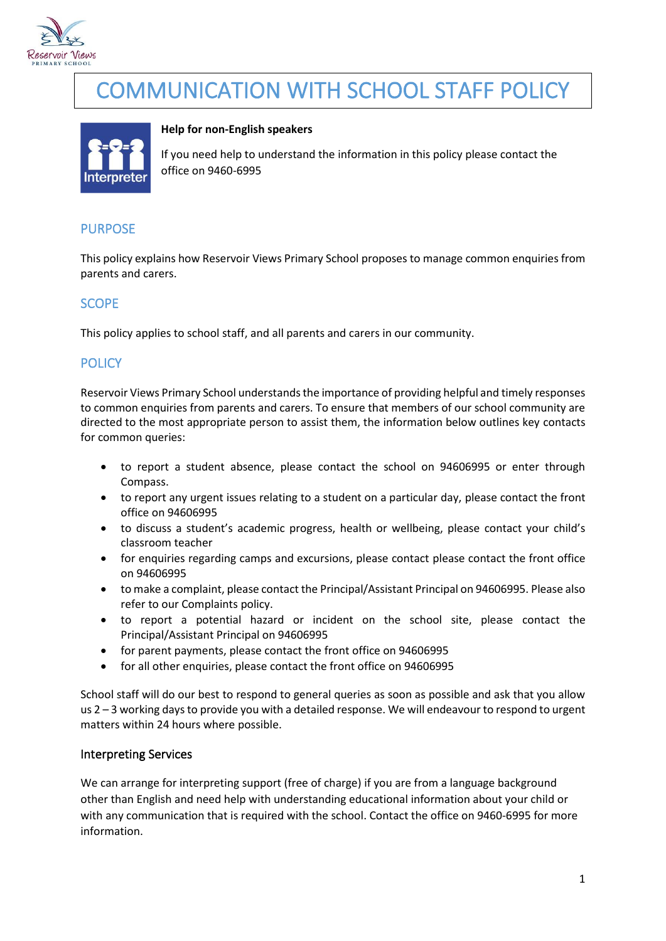

# COMMUNICATION WITH SCHOOL STAFF POLICY



#### **Help for non-English speakers**

If you need help to understand the information in this policy please contact the office on 9460-6995

## PURPOSE

This policy explains how Reservoir Views Primary School proposes to manage common enquiries from parents and carers.

### **SCOPE**

This policy applies to school staff, and all parents and carers in our community.

#### **POLICY**

Reservoir Views Primary School understands the importance of providing helpful and timely responses to common enquiries from parents and carers. To ensure that members of our school community are directed to the most appropriate person to assist them, the information below outlines key contacts for common queries:

- to report a student absence, please contact the school on 94606995 or enter through Compass.
- to report any urgent issues relating to a student on a particular day, please contact the front office on 94606995
- to discuss a student's academic progress, health or wellbeing, please contact your child's classroom teacher
- for enquiries regarding camps and excursions, please contact please contact the front office on 94606995
- to make a complaint, please contact the Principal/Assistant Principal on 94606995. Please also refer to our Complaints policy.
- to report a potential hazard or incident on the school site, please contact the Principal/Assistant Principal on 94606995
- for parent payments, please contact the front office on 94606995
- for all other enquiries, please contact the front office on 94606995

School staff will do our best to respond to general queries as soon as possible and ask that you allow us 2 – 3 working days to provide you with a detailed response. We will endeavour to respond to urgent matters within 24 hours where possible.

#### Interpreting Services

We can arrange for interpreting support (free of charge) if you are from a language background other than English and need help with understanding educational information about your child or with any communication that is required with the school. Contact the office on 9460-6995 for more information.